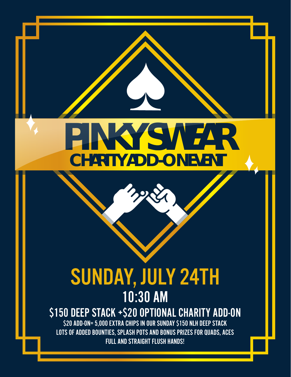## **PINKY SWEAR CHARITY ADD-ON EVENT**

## SUNDAY, JULY 24TH 10:30 AM \$150 DEEP STACK +\$20 OPTIONAL CHARITY ADD-ON

\$20 ADD-ON= 5,000 EXTRA CHIPS IN OUR SUNDAY \$150 NLH DEEP STACK LOTS OF ADDED BOUNTIES, SPLASH POTS AND BONUS PRIZES FOR QUADS, ACES FULL AND STRAIGHT FLUSH HANDS!